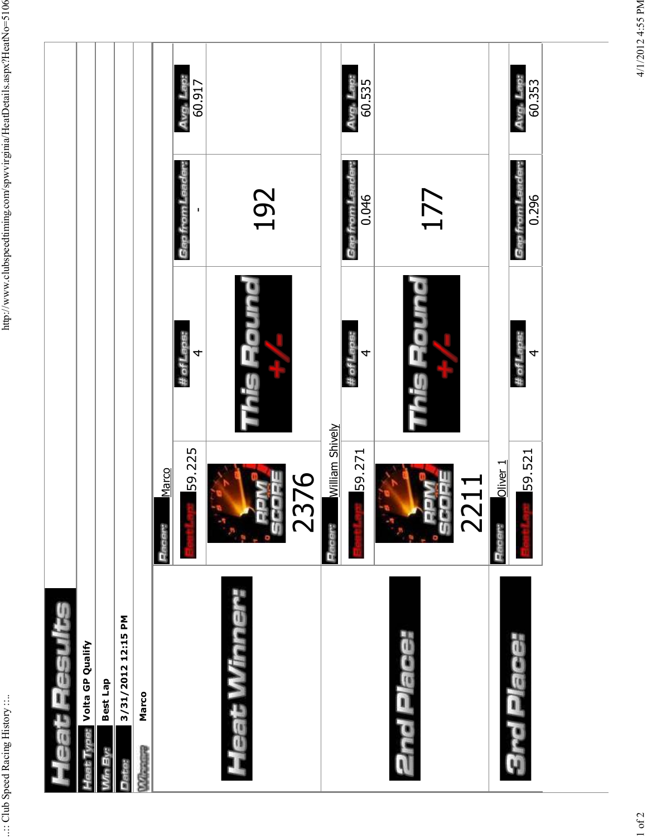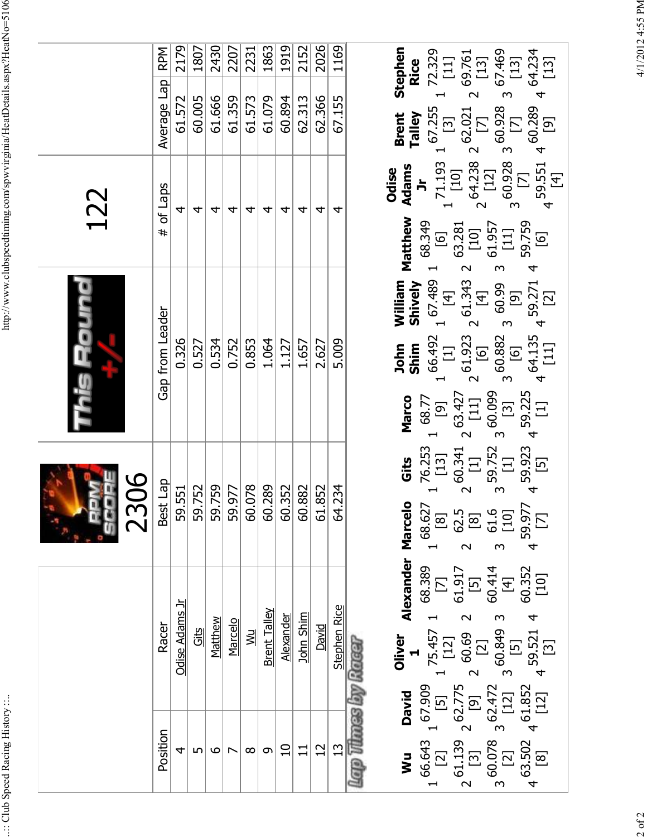| l                                                                                  |
|------------------------------------------------------------------------------------|
| ∫<br>                                                                              |
| ì<br>i                                                                             |
| ֧֧֧֧֧֧֧֧֧֧֧֧֚֚֚֚֚֚֚֚֚֚֚֚֚֚֚֚֚֚֚֚֚֚֚֚֚֚֚֚֚֚֚֚֚֝֝֝֓֝֓֝֓֝֬֝֓֝֬֝֬֝֬֝֬<br>$\frac{1}{2}$ |
| ì<br><b>PSP</b><br>l                                                               |
| ֦֧֦֧֦֧֦֧֦֧֦֧֦֧֦֧֦֧֦֧֦֧֦֧֦֧֦֧֦֧֦֧                                                   |
|                                                                                    |
| $\Gamma_{\alpha\alpha}$<br>ļ                                                       |
| Ì                                                                                  |
| $rcm$ $n1$<br>$\ddot{\phantom{0}}$<br>i<br>J<br>١                                  |
|                                                                                    |
| ì<br>ı                                                                             |
| ות המוחיפות שנתיו                                                                  |
| i<br>Ì                                                                             |
| edtimine                                                                           |
| l                                                                                  |
|                                                                                    |
| į                                                                                  |
|                                                                                    |
| l                                                                                  |
| http:/                                                                             |
|                                                                                    |
|                                                                                    |
|                                                                                    |
|                                                                                    |
|                                                                                    |
|                                                                                    |
|                                                                                    |
|                                                                                    |
|                                                                                    |
|                                                                                    |
|                                                                                    |
|                                                                                    |
|                                                                                    |
|                                                                                    |
|                                                                                    |
|                                                                                    |
|                                                                                    |
|                                                                                    |
|                                                                                    |
|                                                                                    |
|                                                                                    |
|                                                                                    |
|                                                                                    |
|                                                                                    |
| ĺ<br>l                                                                             |
| י                                                                                  |
| ļ                                                                                  |
|                                                                                    |
| l                                                                                  |
| i                                                                                  |
|                                                                                    |

|                       |                 | 2179               | 1807   | 2430           | 2207    | 2231                    | 1863                | 1919             | 2152      | 2026   | 1169                 | Stephen<br>3 67.469<br>[13]<br>$1 \frac{72.329}{[11]}$<br>$4 \frac{64.234}{[13]}$<br>2 69.761<br>[13]<br><b>Rice</b>                                                                                                                                                                                                                                                                                                                                     |
|-----------------------|-----------------|--------------------|--------|----------------|---------|-------------------------|---------------------|------------------|-----------|--------|----------------------|----------------------------------------------------------------------------------------------------------------------------------------------------------------------------------------------------------------------------------------------------------------------------------------------------------------------------------------------------------------------------------------------------------------------------------------------------------|
|                       | Average Lap RPM | 61.572             | 60.005 | 61.666         | 61.359  | 61.573                  | 61.079              | 60.894           | 62.313    | 62.366 | 67.155               | $1 \frac{67.255}{[3]}$<br><b>Brent</b><br>Talley                                                                                                                                                                                                                                                                                                                                                                                                         |
| 122                   | # of Laps       | 4                  | 4      | 4              | 4       | 4                       | 4                   | 4                | 4         | 4      | 4                    | $\begin{array}{c} 2 \ 60.928 \ 3 \ 60.928 \\ 5 \ 171 \end{array}$<br>$4\frac{59.551}{[4]}$ 4 $\frac{60.289}{[9]}$<br>Adams<br>Jr<br>Odise<br>Matthew                                                                                                                                                                                                                                                                                                     |
| his Rounc             | Gap from Leader | 0.326              | 0.527  | 0.534          | 0.752   | 0.853                   | 1.064               | 1.127            | 1.657     | 2.627  | 5.009                | $\begin{bmatrix} 1 & 2 & 61.923 & 2 & 61.343 & 2 & 63.281 \\ 16 & 16 & 14 & 1101 & 101 \\ 3 & 5 & 60.882 & 5 & 60.99 & 3 & 51.957 \\ 5 & 16 & 16 & 161 & 161 & 161 \\ 4 & 64.135 & 459.271 & 4 & 59.759 \end{bmatrix}$<br>$1 \frac{68.349}{[6]}$<br>Shively<br>William<br>$\begin{array}{c} 1 \ 67.489 \\ [4] \\ 2 \ 61.343 \\ [4] \\ 5 \ 60.99 \\ 3 \ 60.99 \end{array}$<br>$1\frac{66.492}{[1]}$<br>John<br>Shim                                       |
|                       |                 |                    |        |                |         |                         |                     |                  |           |        |                      | 3 <sup>60.099</sup><br>$4\frac{59.923}{[5]}$ 4 59.225<br>$2\frac{63.427}{[11]}$<br>Marco<br>$1 \frac{68.77}{[9]}$<br>3 59.752<br>[1]<br>$1\frac{76.253}{[13]}$<br>$2\frac{60.341}{[1]}$<br>Gits                                                                                                                                                                                                                                                          |
| 80<br>$\overline{23}$ | Best Lap        | 551<br>59.         | 59.752 | 59.759         | 59.977  | 078<br>$\overline{5}$   | 60.289              | 60.352           | 60.882    | 61.852 | 234<br>$\mathcal{A}$ | $\begin{array}{ccc} 1 & 68.627 \\ 1 & 81 \\ 2 & 62.5 \\ 3 & 61.0 \\ 4 & 7 & 101 \\ 59.977 \\ 4 & 7 & 101 \\ 5 & 101 \\ 7 & 101 \\ 8 & 101 \\ 7 & 101 \\ 1 & 101 \\ 1 & 101 \\ 1 & 1 & 101 \\ 1 & 1 & 1 & 101 \\ 1 & 1 & 1 & 1 & 101 \\ 1 & 1 & 1 & 1 & 1 & 101 \\ 1 & 1 & 1 & 1 & 1 & 1 & 101 \\ 1 & 1 & 1 & 1 & 1$                                                                                                                                      |
|                       | Racer           | <b>Odise Adams</b> | Gits   | <b>Matthew</b> | Marcelo | $\overline{\mathbb{M}}$ | <b>Brent Talley</b> | <b>Alexander</b> | John Shim | David  | Stephen Rice         | Oliver Alexander Marcelo<br>1<br>68.389<br>[7]<br>61.917<br>60.414<br>60.352<br>[10]<br>Macar                                                                                                                                                                                                                                                                                                                                                            |
|                       | Position        | 4                  | 5      | ص              |         | $\infty$                | $\sigma$            | $\Omega$         | 11        | 12     | 13                   | <b>Wu David <math>\begin{bmatrix} 1 &amp; 0 &amp; 0 &amp; 0 \\ 1 &amp; 66.643 &amp; 1 &amp; 67.909 &amp; 1 \\ 1 &amp; 1 &amp; 1 &amp; 1 &amp; 1 \\ 2 &amp; 61.139 &amp; 2 &amp; 62.775 &amp; 1 \\ 3 &amp; 60.078 &amp; 3 &amp; 62.472 &amp; 60.849 &amp; 3 \\ 4 &amp; 63.502 &amp; 4 &amp; 61.852 &amp; 59.521 &amp; 4 \\ 6 &amp; 1 &amp; 1 &amp; 1 &amp; 1 \\ 6 &amp; 6 &amp; 1 &amp; 1 &amp; 1 \end{bmatrix}</math></b><br><b>Munes</b><br><b>GTa)</b> |

 $2$  of  $2$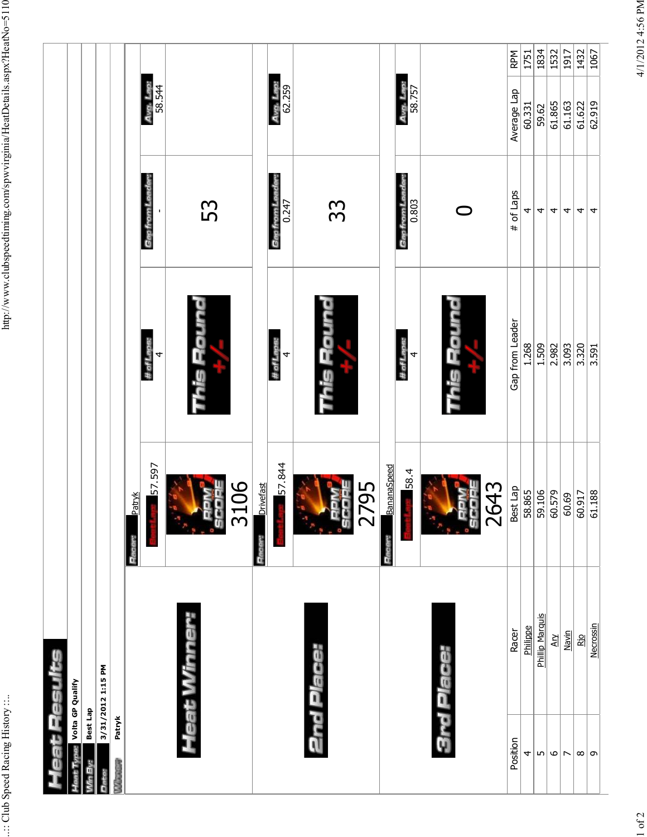| Avg. Lap:<br>58.757<br>Avg. Lap:<br>58.544<br>Avg. Lap:<br>62.259<br>Average Lap<br>62.919<br>61.865<br>61.163<br>61.622<br>60.331<br>59.62<br>Gap from Leader<br>Gap from Leader<br># of Laps<br>Gap from Le<br>0.803<br>53<br>0.247<br>33<br>⌒<br>4<br>4<br>4<br>4<br>4<br>4<br>This Round<br><u>aunoa</u><br><u>rmo'=</u><br>Gap from Leader<br># of Laps:<br>#ofLace:<br># of Laps:<br>1.268<br>1.509<br>2.982<br>3.093<br>3.320<br>3.591<br>$\overline{a}$<br>4<br>4<br>ng<br>S<br><b>DIG</b><br>57.844<br>57.597<br><b>BananaSpeed</b><br>58.4<br>106<br><b>Drivefast</b><br>2795<br>2643<br>Best Lap<br>58.865<br>59.106<br>60.579<br>61.188<br>60.917<br><b>Patryk</b><br>60.69<br>$\mathbf{\Omega}$<br>Œ<br>Hacer:<br><b>Pace</b><br>Heat Winner:<br>Phillip Marquis<br>Necrossin<br>Philippe<br>Racer<br>Navin<br>$\overline{A}$<br><b>Rio</b><br>2nd Place:<br><b>3rd Place:</b><br>3/31/2012 1:15 PM<br>Volta GP Qualify<br>Best Lap<br>Patryk<br>Position<br>$\mathbf \omega$<br>4<br>$\overline{5}$<br>$\infty$<br>$\overline{\phantom{a}}$<br>G<br><b>RANGER</b> | eat Pesuits |  |  |      |
|---------------------------------------------------------------------------------------------------------------------------------------------------------------------------------------------------------------------------------------------------------------------------------------------------------------------------------------------------------------------------------------------------------------------------------------------------------------------------------------------------------------------------------------------------------------------------------------------------------------------------------------------------------------------------------------------------------------------------------------------------------------------------------------------------------------------------------------------------------------------------------------------------------------------------------------------------------------------------------------------------------------------------------------------------------------------------------|-------------|--|--|------|
|                                                                                                                                                                                                                                                                                                                                                                                                                                                                                                                                                                                                                                                                                                                                                                                                                                                                                                                                                                                                                                                                                 |             |  |  |      |
|                                                                                                                                                                                                                                                                                                                                                                                                                                                                                                                                                                                                                                                                                                                                                                                                                                                                                                                                                                                                                                                                                 |             |  |  |      |
|                                                                                                                                                                                                                                                                                                                                                                                                                                                                                                                                                                                                                                                                                                                                                                                                                                                                                                                                                                                                                                                                                 |             |  |  |      |
|                                                                                                                                                                                                                                                                                                                                                                                                                                                                                                                                                                                                                                                                                                                                                                                                                                                                                                                                                                                                                                                                                 |             |  |  |      |
|                                                                                                                                                                                                                                                                                                                                                                                                                                                                                                                                                                                                                                                                                                                                                                                                                                                                                                                                                                                                                                                                                 |             |  |  |      |
|                                                                                                                                                                                                                                                                                                                                                                                                                                                                                                                                                                                                                                                                                                                                                                                                                                                                                                                                                                                                                                                                                 |             |  |  |      |
|                                                                                                                                                                                                                                                                                                                                                                                                                                                                                                                                                                                                                                                                                                                                                                                                                                                                                                                                                                                                                                                                                 |             |  |  |      |
|                                                                                                                                                                                                                                                                                                                                                                                                                                                                                                                                                                                                                                                                                                                                                                                                                                                                                                                                                                                                                                                                                 |             |  |  |      |
|                                                                                                                                                                                                                                                                                                                                                                                                                                                                                                                                                                                                                                                                                                                                                                                                                                                                                                                                                                                                                                                                                 |             |  |  |      |
|                                                                                                                                                                                                                                                                                                                                                                                                                                                                                                                                                                                                                                                                                                                                                                                                                                                                                                                                                                                                                                                                                 |             |  |  |      |
|                                                                                                                                                                                                                                                                                                                                                                                                                                                                                                                                                                                                                                                                                                                                                                                                                                                                                                                                                                                                                                                                                 |             |  |  |      |
|                                                                                                                                                                                                                                                                                                                                                                                                                                                                                                                                                                                                                                                                                                                                                                                                                                                                                                                                                                                                                                                                                 |             |  |  |      |
|                                                                                                                                                                                                                                                                                                                                                                                                                                                                                                                                                                                                                                                                                                                                                                                                                                                                                                                                                                                                                                                                                 |             |  |  |      |
|                                                                                                                                                                                                                                                                                                                                                                                                                                                                                                                                                                                                                                                                                                                                                                                                                                                                                                                                                                                                                                                                                 |             |  |  | RPM  |
|                                                                                                                                                                                                                                                                                                                                                                                                                                                                                                                                                                                                                                                                                                                                                                                                                                                                                                                                                                                                                                                                                 |             |  |  | 1751 |
|                                                                                                                                                                                                                                                                                                                                                                                                                                                                                                                                                                                                                                                                                                                                                                                                                                                                                                                                                                                                                                                                                 |             |  |  | 1834 |
|                                                                                                                                                                                                                                                                                                                                                                                                                                                                                                                                                                                                                                                                                                                                                                                                                                                                                                                                                                                                                                                                                 |             |  |  | 1532 |
|                                                                                                                                                                                                                                                                                                                                                                                                                                                                                                                                                                                                                                                                                                                                                                                                                                                                                                                                                                                                                                                                                 |             |  |  | 1917 |
|                                                                                                                                                                                                                                                                                                                                                                                                                                                                                                                                                                                                                                                                                                                                                                                                                                                                                                                                                                                                                                                                                 |             |  |  | 1432 |
|                                                                                                                                                                                                                                                                                                                                                                                                                                                                                                                                                                                                                                                                                                                                                                                                                                                                                                                                                                                                                                                                                 |             |  |  | 1067 |